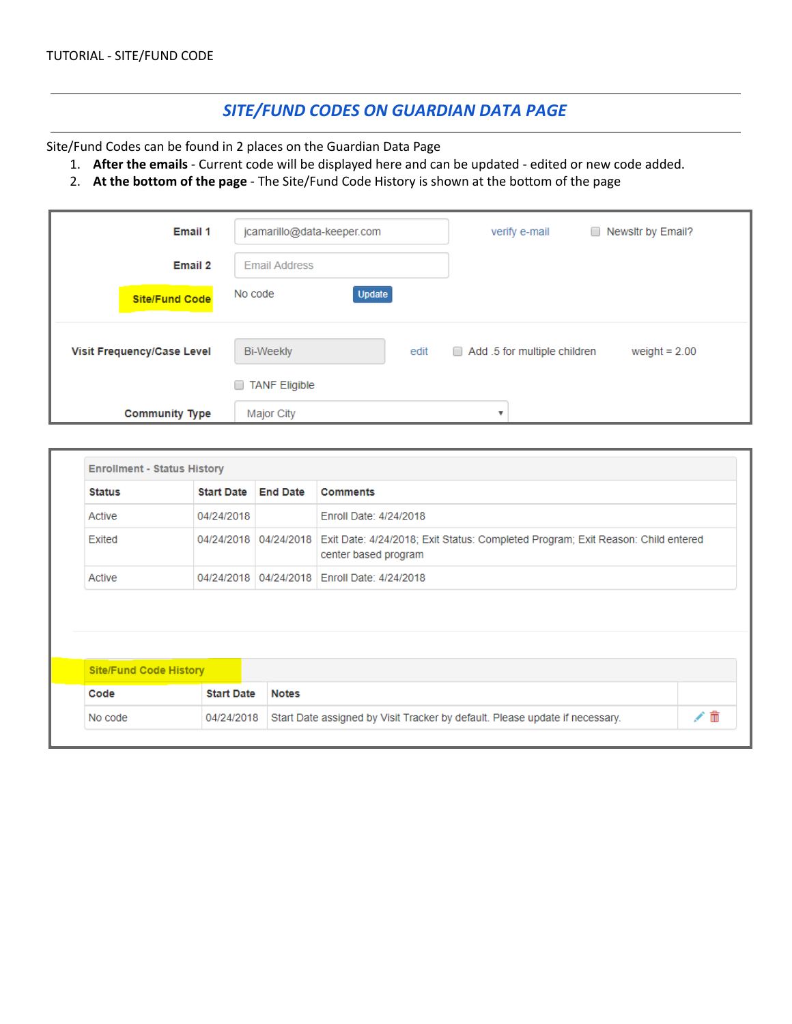## SITE/FUND CODES ON GUARDIAN DATA PAGE

Site/Fund Codes can be found in 2 places on the Guardian Data Page

- 1. After the emails Current code will be displayed here and can be updated edited or new code added.
- 2. At the bottom of the page The Site/Fund Code History is shown at the bottom of the page

| Email 1                    | jcamarillo@data-keeper.com     | Newsitr by Email?<br>verify e-mail<br>$\Box$            |
|----------------------------|--------------------------------|---------------------------------------------------------|
| <b>Email 2</b>             | <b>Email Address</b>           |                                                         |
| <b>Site/Fund Code</b>      | <b>Update</b><br>No code       |                                                         |
| Visit Frequency/Case Level | <b>Bi-Weekly</b>               | Add .5 for multiple children<br>weight = $2.00$<br>edit |
|                            | <b>TANF Eligible</b><br>$\Box$ |                                                         |
| <b>Community Type</b>      | Major City                     | $\overline{\mathbf{v}}$                                 |

| <b>Status</b>                                                                                                                                                                                 | <b>Start Date</b> | <b>End Date</b> | <b>Comments</b> |  |
|-----------------------------------------------------------------------------------------------------------------------------------------------------------------------------------------------|-------------------|-----------------|-----------------|--|
| Enroll Date: 4/24/2018<br>Active<br>04/24/2018<br>Exit Date: 4/24/2018; Exit Status: Completed Program; Exit Reason: Child entered<br>Exited<br>04/24/2018 04/24/2018<br>center based program |                   |                 |                 |  |
|                                                                                                                                                                                               |                   |                 |                 |  |
| Active                                                                                                                                                                                        |                   |                 |                 |  |
| <b>Site/Fund Code History</b>                                                                                                                                                                 |                   |                 |                 |  |
| Code                                                                                                                                                                                          | <b>Start Date</b> | <b>Notes</b>    |                 |  |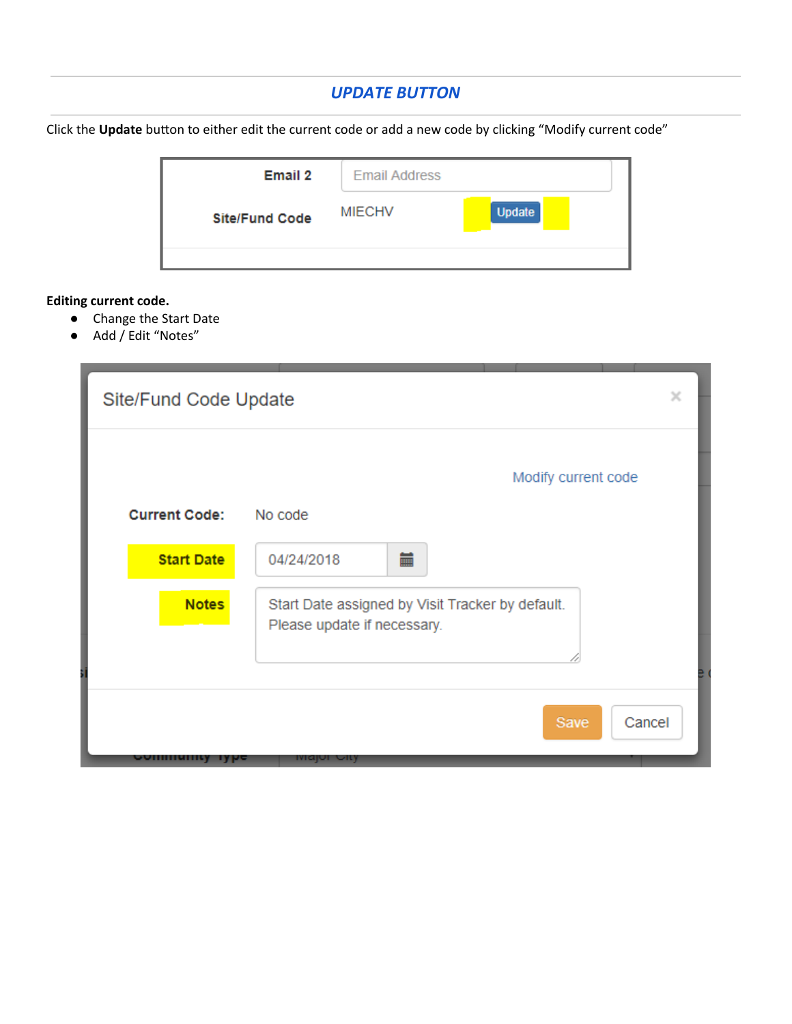# UPDATE BUTTON

Click the Update button to either edit the current code or add a new code by clicking "Modify current code"

| <b>Email 2</b>        | <b>Email Address</b> |               |
|-----------------------|----------------------|---------------|
| <b>Site/Fund Code</b> | <b>MIECHV</b>        | <b>Update</b> |
|                       |                      |               |

### Editing current code.

- Change the Start Date
- Add / Edit "Notes"

| Site/Fund Code Update |                                                                                 | $\times$ |
|-----------------------|---------------------------------------------------------------------------------|----------|
|                       | Modify current code                                                             |          |
| <b>Current Code:</b>  | No code                                                                         |          |
| <b>Start Date</b>     | 篇<br>04/24/2018                                                                 |          |
| <b>Notes</b>          | Start Date assigned by Visit Tracker by default.<br>Please update if necessary. |          |
| оопшинцу туре         | Save<br>Cancel<br>ινιαιοι σιιγ                                                  |          |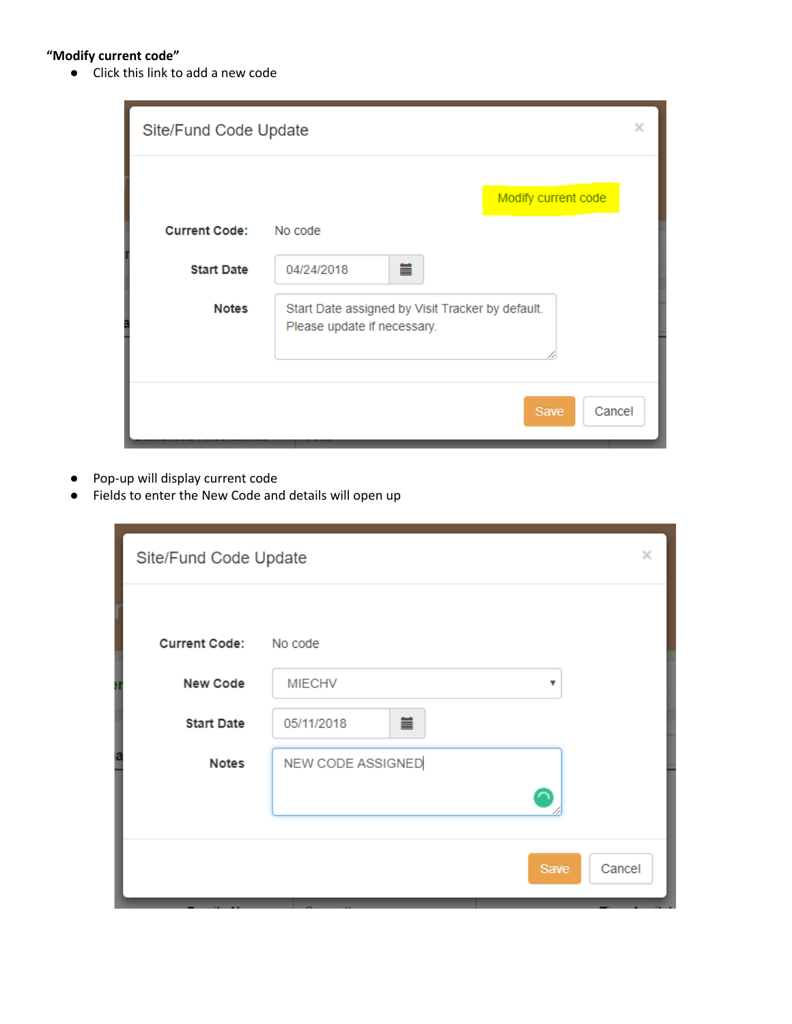## "Modify current code"

● Click this link to add a new code

| Site/Fund Code Update |                                                                                 |                     | $\times$ |
|-----------------------|---------------------------------------------------------------------------------|---------------------|----------|
|                       |                                                                                 | Modify current code |          |
| <b>Current Code:</b>  | No code                                                                         |                     |          |
| <b>Start Date</b>     | 篇<br>04/24/2018                                                                 |                     |          |
| <b>Notes</b>          | Start Date assigned by Visit Tracker by default.<br>Please update if necessary. |                     |          |
|                       |                                                                                 | Save<br>Cancel      |          |

- Pop-up will display current code
- Fields to enter the New Code and details will open up

| Site/Fund Code Update |                   | ×      |
|-----------------------|-------------------|--------|
|                       |                   |        |
| Current Code: No code |                   |        |
| New Code<br>訆         | MIECHV<br>¥       |        |
| <b>Start Date</b>     | 藟<br>05/11/2018   |        |
| E<br>Notes            | NEW CODE ASSIGNED |        |
|                       |                   |        |
|                       |                   |        |
|                       | Save              | Cancel |
|                       |                   |        |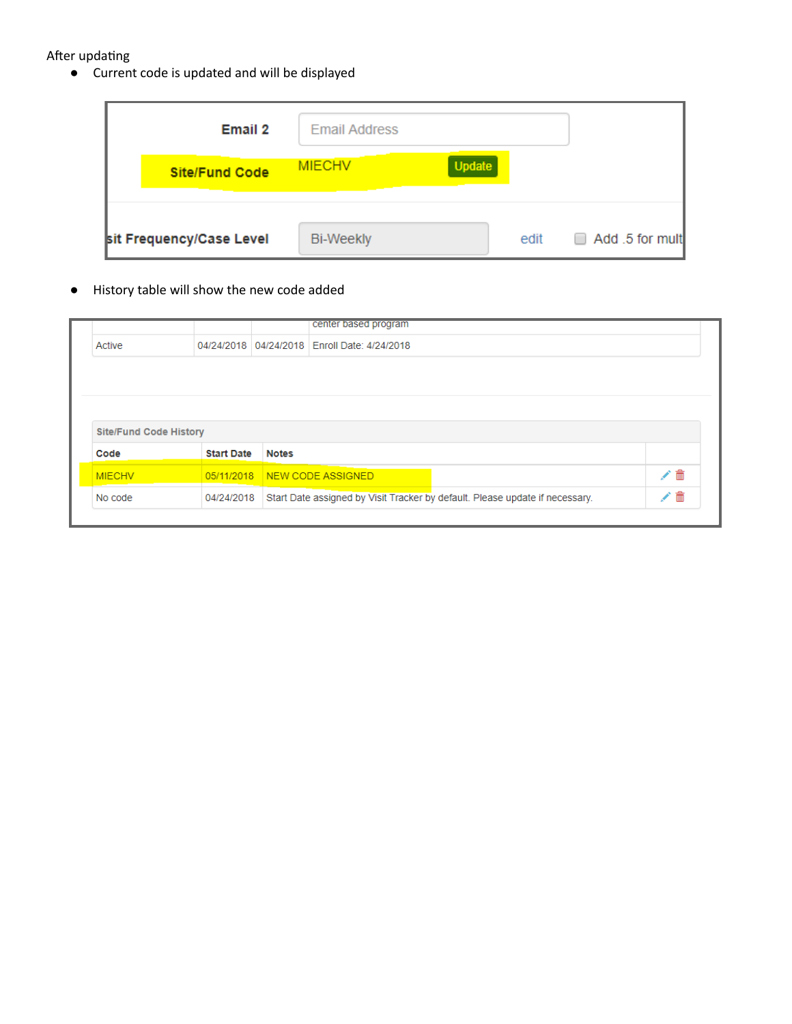After updating

● Current code is updated and will be displayed

| <b>Email 2</b>           | <b>Email Address</b> |               |      |                 |
|--------------------------|----------------------|---------------|------|-----------------|
| <b>Site/Fund Code</b>    | <b>MIECHV</b>        | <b>Update</b> |      |                 |
| sit Frequency/Case Level | <b>Bi-Weekly</b>     |               | edit | Add .5 for mult |

● History table will show the new code added

| Active                                |                   | 04/24/2018 04/24/2018 Enroll Date: 4/24/2018 |        |  |
|---------------------------------------|-------------------|----------------------------------------------|--------|--|
|                                       |                   |                                              |        |  |
|                                       |                   |                                              |        |  |
|                                       |                   |                                              |        |  |
|                                       |                   |                                              |        |  |
|                                       |                   |                                              |        |  |
|                                       |                   |                                              |        |  |
|                                       |                   |                                              |        |  |
| <b>Site/Fund Code History</b><br>Code | <b>Start Date</b> | <b>Notes</b>                                 |        |  |
| <b>MIECHV</b>                         |                   | 05/11/2018 NEW CODE ASSIGNED                 | 侖<br>∕ |  |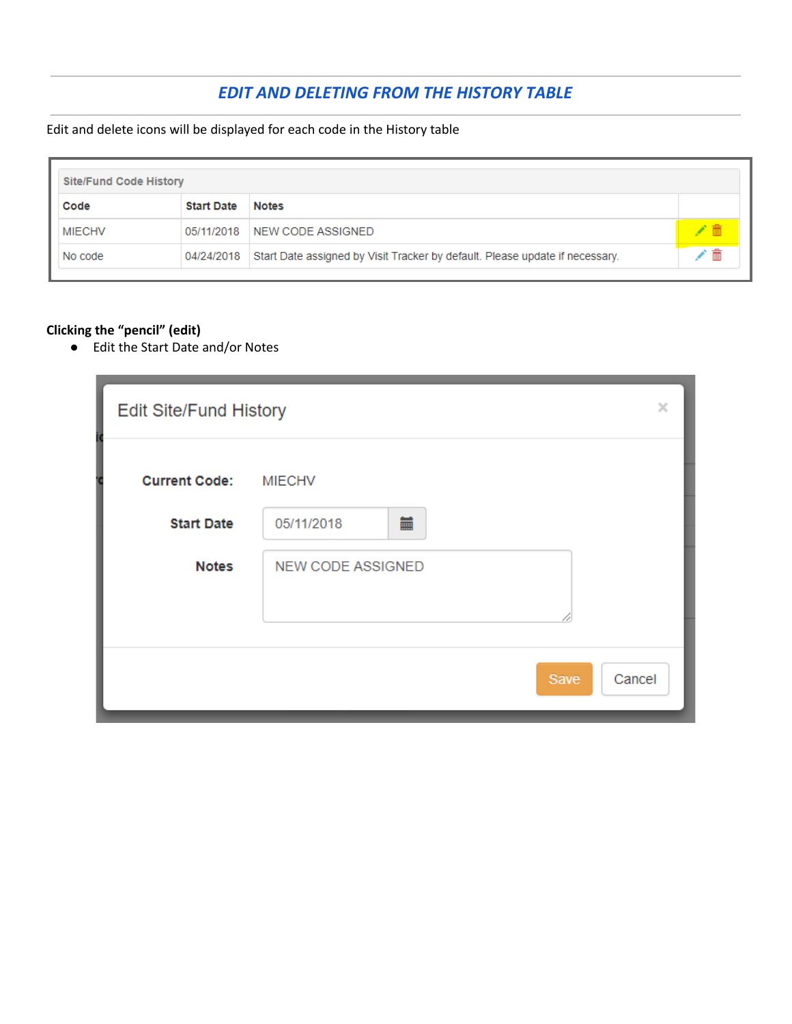## EDIT AND DELETING FROM THE HISTORY TABLE

Edit and delete icons will be displayed for each code in the History table

| <b>Site/Fund Code History</b> |                   |                                                                              |  |  |
|-------------------------------|-------------------|------------------------------------------------------------------------------|--|--|
| Code                          | <b>Start Date</b> | <b>Notes</b>                                                                 |  |  |
| <b>MIECHV</b>                 | 05/11/2018        | NEW CODE ASSIGNED                                                            |  |  |
| No code                       | 04/24/2018        | Start Date assigned by Visit Tracker by default. Please update if necessary. |  |  |

## Clicking the "pencil" (edit)

● Edit the Start Date and/or Notes

| <b>Edit Site/Fund History</b> |                          |                | $\times$ |
|-------------------------------|--------------------------|----------------|----------|
| Current Code: MIECHV          |                          |                |          |
| <b>Start Date</b>             | 薑<br>05/11/2018          |                |          |
| <b>Notes</b>                  | <b>NEW CODE ASSIGNED</b> |                |          |
|                               |                          |                |          |
|                               |                          | Cancel<br>Save |          |